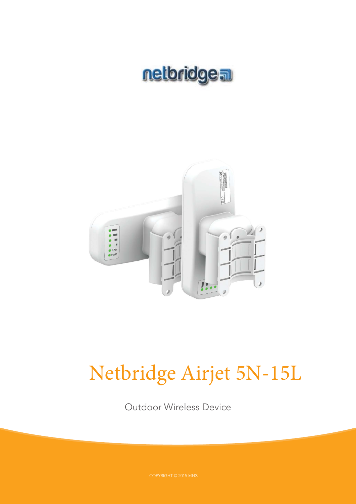



# Netbridge Airjet 5N-15L

Outdoor Wireless Device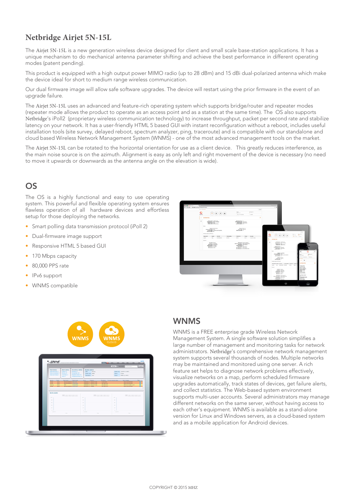## **Netbridge Airjet 5N-15L**

The Airiet 5N-15L is a new generation wireless device designed for client and small scale base-station applications. It has a unique mechanism to do mechanical antenna parameter shifting and achieve the best performance in different operating modes (patent pending).

This product is equipped with a high output power MIMO radio (up to 28 dBm) and 15 dBi dual-polarized antenna which make the device ideal for short to medium range wireless communication.

Our dual firmware image will allow safe software upgrades. The device will restart using the prior firmware in the event of an upgrade failure.

The Airjet 5N-15L uses an advanced and feature-rich operating system which supports bridge/router and repeater modes (repeater mode allows the product to operate as an access point and as a station at the same time). The OS also supports Netbridge's iPoll2 (proprietary wireless communication technology) to increase throughput, packet per second rate and stabilize latency on your network. It has a user-friendly HTML 5 based GUI with instant reconfiguration without a reboot, includes useful installation tools (site survey, delayed reboot, spectrum analyzer, ping, traceroute) and is compatible with our standalone and cloud based Wireless Network Management System (WNMS) - one of the most advanced management tools on the market.

The Airjet 5N-15L can be rotated to the horizontal orientation for use as a client device. This greatly reduces interference, as the main noise source is on the azimuth. Alignment is easy as only left and right movement of the device is necessary (no need to move it upwards or downwards as the antenna angle on the elevation is wide).

## OS

The OS is a highly functional and easy to use operating system. This powerful and flexible operating system ensures flawless operation of all hardware devices and effortless setup for those deploying the networks.

- Smart polling data transmission protocol (iPoll 2)
- Dual-firmware image support
- Responsive HTML 5 based GUI
- 170 Mbps capacity
- 80,000 PPS rate
- IPv6 support
- WNMS compatible





### **WNMS**

WNMS is a FREE enterprise grade Wireless Network Management System. A single software solution simplifies a large number of management and monitoring tasks for network administrators. Netbridge's comprehensive network management system supports several thousands of nodes. Multiple networks may be maintained and monitored using one server. A rich feature set helps to diagnose network problems effectively, visualize networks on a map, perform scheduled firmware upgrades automatically, track states of devices, get failure alerts, and collect statistics. The Web-based system environment supports multi-user accounts. Several administrators may manage different networks on the same server, without having access to each other's equipment. WNMS is available as a stand-alone version for Linux and Windows servers, as a cloud-based system and as a mobile application for Android devices.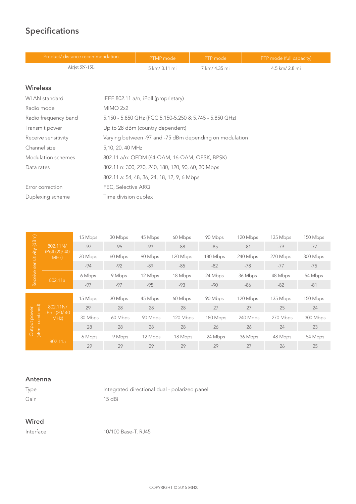# **Specifications**

| Product/ distance recommendation |                                                         | PTMP mode                                   | PTP mode      | PTP mode (full capacity) |
|----------------------------------|---------------------------------------------------------|---------------------------------------------|---------------|--------------------------|
| Airjet 5N-15L                    |                                                         | 5 km/ 3.11 mi                               | 7 km/ 4.35 mi | 4.5 km/ 2.8 mi           |
|                                  |                                                         |                                             |               |                          |
| <b>Wireless</b>                  |                                                         |                                             |               |                          |
| <b>WLAN</b> standard             |                                                         | IEEE 802.11 a/n, iPoll (proprietary)        |               |                          |
| Radio mode                       | MIMO 2x2                                                |                                             |               |                          |
| Radio frequency band             | 5.150 - 5.850 GHz (FCC 5.150-5.250 & 5.745 - 5.850 GHz) |                                             |               |                          |
| Transmit power                   | Up to 28 dBm (country dependent)                        |                                             |               |                          |
| Receive sensitivity              | Varying between -97 and -75 dBm depending on modulation |                                             |               |                          |
| Channel size                     | 5,10, 20, 40 MHz                                        |                                             |               |                          |
| Modulation schemes               | 802.11 a/n: OFDM (64-QAM, 16-QAM, QPSK, BPSK)           |                                             |               |                          |
| Data rates                       | 802.11 n: 300, 270, 240, 180, 120, 90, 60, 30 Mbps      |                                             |               |                          |
|                                  |                                                         | 802.11 a: 54, 48, 36, 24, 18, 12, 9, 6 Mbps |               |                          |
| Error correction                 | FEC, Selective ARQ                                      |                                             |               |                          |
| Duplexing scheme                 | Time division duplex                                    |                                             |               |                          |

|                    |                       | 15 Mbps | 30 Mbps | 45 Mbps | 60 Mbps  | 90 Mbps  | 120 Mbps | 135 Mbps | 150 Mbps |
|--------------------|-----------------------|---------|---------|---------|----------|----------|----------|----------|----------|
|                    | 802.11N/              | $-97$   | $-95$   | $-93$   | $-88$    | $-85$    | $-81$    | $-79$    | $-77$    |
| sensitivity (dBm)  | iPoll (20/40)<br>MHz) | 30 Mbps | 60 Mbps | 90 Mbps | 120 Mbps | 180 Mbps | 240 Mbps | 270 Mbps | 300 Mbps |
|                    |                       | $-94$   | $-92$   | $-89$   | $-85$    | $-82$    | $-78$    | $-77$    | $-75$    |
| Receive            |                       | 6 Mbps  | 9 Mbps  | 12 Mbps | 18 Mbps  | 24 Mbps  | 36 Mbps  | 48 Mbps  | 54 Mbps  |
|                    | 802.11a               | $-97$   | $-97$   | $-95$   | $-93$    | $-90$    | $-86$    | $-82$    | $-81$    |
|                    |                       | 15 Mbps | 30 Mbps | 45 Mbps | 60 Mbps  | 90 Mbps  | 120 Mbps | 135 Mbps | 150 Mbps |
|                    | 802.11N/              | 29      | 28      | 28      | 28       | 27       | 27       | 25       | 24       |
| combined)<br>power | iPoll (20/40)<br>MHz) | 30 Mbps | 60 Mbps | 90 Mbps | 120 Mbps | 180 Mbps | 240 Mbps | 270 Mbps | 300 Mbps |
| Output             |                       | 28      | 28      | 28      | 28       | 26       | 26       | 24       | 23       |
| (dBm               |                       | 6 Mbps  | 9 Mbps  | 12 Mbps | 18 Mbps  | 24 Mbps  | 36 Mbps  | 48 Mbps  | 54 Mbps  |
|                    | 802.11a               |         |         |         |          |          |          |          |          |

#### **Antenna**

| Type | Integrated directional dual - polarized panel |
|------|-----------------------------------------------|
| Gain | $15$ dBi                                      |

#### **Wired**

Interface 10/100 Base-T, RJ45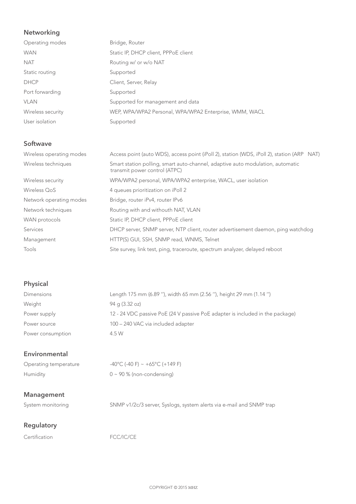#### **Networking**

| Operating modes   | Bridge, Router                                         |
|-------------------|--------------------------------------------------------|
| <b>WAN</b>        | Static IP, DHCP client, PPPoE client                   |
| <b>NAT</b>        | Routing w/ or w/o NAT                                  |
| Static routing    | Supported                                              |
| <b>DHCP</b>       | Client, Server, Relay                                  |
| Port forwarding   | Supported                                              |
| <b>VLAN</b>       | Supported for management and data                      |
| Wireless security | WEP, WPA/WPA2 Personal, WPA/WPA2 Enterprise, WMM, WACL |
| User isolation    | Supported                                              |

#### **Softwave**

| Wireless operating modes | Access point (auto WDS), access point (iPoll 2), station (WDS, iPoll 2), station (ARP NAT)                      |
|--------------------------|-----------------------------------------------------------------------------------------------------------------|
| Wireless techniques      | Smart station polling, smart auto-channel, adaptive auto modulation, automatic<br>transmit power control (ATPC) |
| Wireless security        | WPA/WPA2 personal, WPA/WPA2 enterprise, WACL, user isolation                                                    |
| Wireless QoS             | 4 queues prioritization on iPoll 2                                                                              |
| Network operating modes  | Bridge, router iPv4, router IPv6                                                                                |
| Network techniques       | Routing with and withouth NAT, VLAN                                                                             |
| WAN protocols            | Static IP, DHCP client, PPPoE client                                                                            |
| Services                 | DHCP server, SNMP server, NTP client, router advertisement daemon, ping watchdog                                |
| Management               | HTTP(S) GUI, SSH, SNMP read, WNMS, Telnet                                                                       |
| Tools                    | Site survey, link test, ping, traceroute, spectrum analyzer, delayed reboot                                     |
|                          |                                                                                                                 |

#### **Physical**

| <b>Dimensions</b> | Length 175 mm (6.89 "), width 65 mm (2.56 "), height 29 mm (1.14 ")           |
|-------------------|-------------------------------------------------------------------------------|
| Weight            | $94$ q $(3.32$ oz)                                                            |
| Power supply      | 12 - 24 VDC passive PoE (24 V passive PoE adapter is included in the package) |
| Power source      | 100 - 240 VAC via included adapter                                            |
| Power consumption | 4.5 W                                                                         |

#### **Environmental**

| Operating temperature | -40°C (-40 F) ~ +65°C (+149 F) |
|-----------------------|--------------------------------|
| Humidity              | $0 \sim 90\%$ (non-condensing) |

#### **Management**

System monitoring SNMP v1/2c/3 server, Syslogs, system alerts via e-mail and SNMP trap

#### **Regulatory**

|  | Certification |  |
|--|---------------|--|
|  |               |  |

FCC/IC/CE